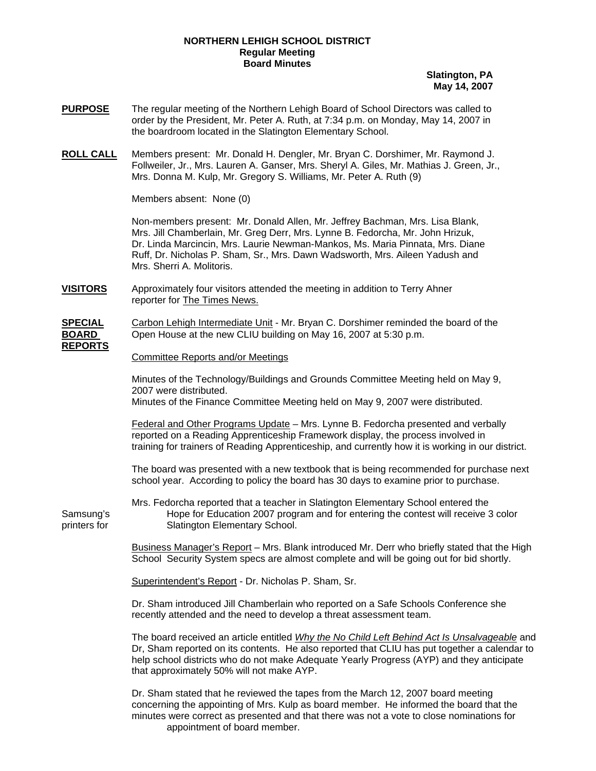## **NORTHERN LEHIGH SCHOOL DISTRICT Regular Meeting Board Minutes**

**Slatington, PA May 14, 2007**

- **PURPOSE** The regular meeting of the Northern Lehigh Board of School Directors was called to order by the President, Mr. Peter A. Ruth, at 7:34 p.m. on Monday, May 14, 2007 in the boardroom located in the Slatington Elementary School.
- **ROLL CALL** Members present: Mr. Donald H. Dengler, Mr. Bryan C. Dorshimer, Mr. Raymond J. Follweiler, Jr., Mrs. Lauren A. Ganser, Mrs. Sheryl A. Giles, Mr. Mathias J. Green, Jr., Mrs. Donna M. Kulp, Mr. Gregory S. Williams, Mr. Peter A. Ruth (9)

Members absent: None (0)

Non-members present: Mr. Donald Allen, Mr. Jeffrey Bachman, Mrs. Lisa Blank, Mrs. Jill Chamberlain, Mr. Greg Derr, Mrs. Lynne B. Fedorcha, Mr. John Hrizuk, Dr. Linda Marcincin, Mrs. Laurie Newman-Mankos, Ms. Maria Pinnata, Mrs. Diane Ruff, Dr. Nicholas P. Sham, Sr., Mrs. Dawn Wadsworth, Mrs. Aileen Yadush and Mrs. Sherri A. Molitoris.

**VISITORS** Approximately four visitors attended the meeting in addition to Terry Ahner reporter for The Times News.

**SPECIAL** Carbon Lehigh Intermediate Unit - Mr. Bryan C. Dorshimer reminded the board of the **BOARD** Open House at the new CLIU building on May 16, 2007 at 5:30 p.m. **REPORTS**

## Committee Reports and/or Meetings

Minutes of the Technology/Buildings and Grounds Committee Meeting held on May 9, 2007 were distributed. Minutes of the Finance Committee Meeting held on May 9, 2007 were distributed.

 Federal and Other Programs Update – Mrs. Lynne B. Fedorcha presented and verbally reported on a Reading Apprenticeship Framework display, the process involved in training for trainers of Reading Apprenticeship, and currently how it is working in our district.

 The board was presented with a new textbook that is being recommended for purchase next school year. According to policy the board has 30 days to examine prior to purchase.

 Mrs. Fedorcha reported that a teacher in Slatington Elementary School entered the Samsung's Hope for Education 2007 program and for entering the contest will receive 3 color printers for Slatington Elementary School.

> Business Manager's Report – Mrs. Blank introduced Mr. Derr who briefly stated that the High School Security System specs are almost complete and will be going out for bid shortly.

Superintendent's Report - Dr. Nicholas P. Sham, Sr.

 Dr. Sham introduced Jill Chamberlain who reported on a Safe Schools Conference she recently attended and the need to develop a threat assessment team.

 The board received an article entitled *Why the No Child Left Behind Act Is Unsalvageable* and Dr, Sham reported on its contents. He also reported that CLIU has put together a calendar to help school districts who do not make Adequate Yearly Progress (AYP) and they anticipate that approximately 50% will not make AYP.

 Dr. Sham stated that he reviewed the tapes from the March 12, 2007 board meeting concerning the appointing of Mrs. Kulp as board member. He informed the board that the minutes were correct as presented and that there was not a vote to close nominations for appointment of board member.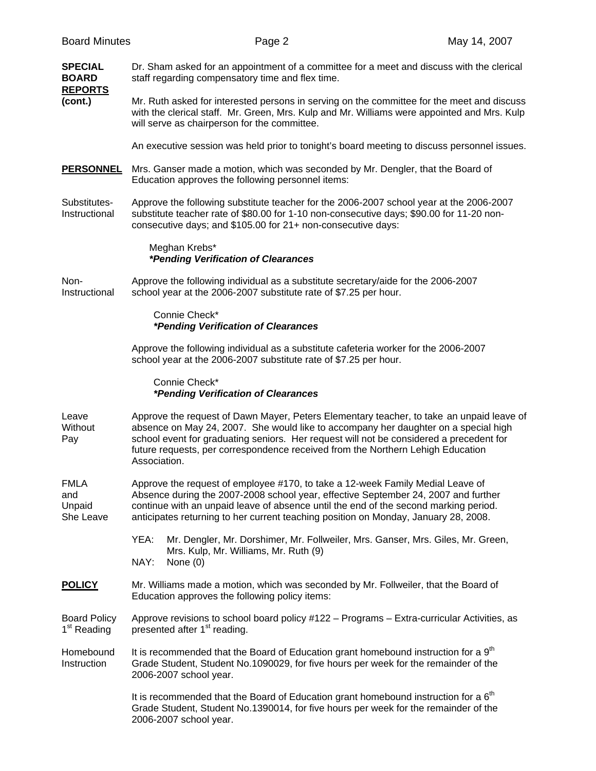| <b>SPECIAL</b><br><b>BOARD</b><br><b>REPORTS</b> | Dr. Sham asked for an appointment of a committee for a meet and discuss with the clerical<br>staff regarding compensatory time and flex time.                                                                                                                                                                                                                                 |  |  |  |
|--------------------------------------------------|-------------------------------------------------------------------------------------------------------------------------------------------------------------------------------------------------------------------------------------------------------------------------------------------------------------------------------------------------------------------------------|--|--|--|
| (cont.)                                          | Mr. Ruth asked for interested persons in serving on the committee for the meet and discuss<br>with the clerical staff. Mr. Green, Mrs. Kulp and Mr. Williams were appointed and Mrs. Kulp<br>will serve as chairperson for the committee.                                                                                                                                     |  |  |  |
|                                                  | An executive session was held prior to tonight's board meeting to discuss personnel issues.                                                                                                                                                                                                                                                                                   |  |  |  |
| <b>PERSONNEL</b>                                 | Mrs. Ganser made a motion, which was seconded by Mr. Dengler, that the Board of<br>Education approves the following personnel items:                                                                                                                                                                                                                                          |  |  |  |
| Substitutes-<br>Instructional                    | Approve the following substitute teacher for the 2006-2007 school year at the 2006-2007<br>substitute teacher rate of \$80.00 for 1-10 non-consecutive days; \$90.00 for 11-20 non-<br>consecutive days; and \$105.00 for 21+ non-consecutive days:                                                                                                                           |  |  |  |
|                                                  | Meghan Krebs*<br><i>*Pending Verification of Clearances</i>                                                                                                                                                                                                                                                                                                                   |  |  |  |
| Non-<br>Instructional                            | Approve the following individual as a substitute secretary/aide for the 2006-2007<br>school year at the 2006-2007 substitute rate of \$7.25 per hour.                                                                                                                                                                                                                         |  |  |  |
|                                                  | Connie Check*<br><i>*Pending Verification of Clearances</i>                                                                                                                                                                                                                                                                                                                   |  |  |  |
|                                                  | Approve the following individual as a substitute cafeteria worker for the 2006-2007<br>school year at the 2006-2007 substitute rate of \$7.25 per hour.                                                                                                                                                                                                                       |  |  |  |
|                                                  | Connie Check*<br><i>*Pending Verification of Clearances</i>                                                                                                                                                                                                                                                                                                                   |  |  |  |
| Leave<br>Without<br>Pay                          | Approve the request of Dawn Mayer, Peters Elementary teacher, to take an unpaid leave of<br>absence on May 24, 2007. She would like to accompany her daughter on a special high<br>school event for graduating seniors. Her request will not be considered a precedent for<br>future requests, per correspondence received from the Northern Lehigh Education<br>Association. |  |  |  |
| <b>FMLA</b><br>and<br>Unpaid<br>She Leave        | Approve the request of employee #170, to take a 12-week Family Medial Leave of<br>Absence during the 2007-2008 school year, effective September 24, 2007 and further<br>continue with an unpaid leave of absence until the end of the second marking period.<br>anticipates returning to her current teaching position on Monday, January 28, 2008.                           |  |  |  |
|                                                  | YEA:<br>Mr. Dengler, Mr. Dorshimer, Mr. Follweiler, Mrs. Ganser, Mrs. Giles, Mr. Green,<br>Mrs. Kulp, Mr. Williams, Mr. Ruth (9)                                                                                                                                                                                                                                              |  |  |  |
|                                                  | NAY:<br>None $(0)$                                                                                                                                                                                                                                                                                                                                                            |  |  |  |
| <b>POLICY</b>                                    | Mr. Williams made a motion, which was seconded by Mr. Follweiler, that the Board of<br>Education approves the following policy items:                                                                                                                                                                                                                                         |  |  |  |
| <b>Board Policy</b><br>1 <sup>st</sup> Reading   | Approve revisions to school board policy #122 - Programs - Extra-curricular Activities, as<br>presented after 1 <sup>st</sup> reading.                                                                                                                                                                                                                                        |  |  |  |
| Homebound<br>Instruction                         | It is recommended that the Board of Education grant homebound instruction for a 9 <sup>th</sup><br>Grade Student, Student No.1090029, for five hours per week for the remainder of the<br>2006-2007 school year.                                                                                                                                                              |  |  |  |
|                                                  | It is recommended that the Board of Education grant homebound instruction for a 6 <sup>th</sup><br>Grade Student, Student No.1390014, for five hours per week for the remainder of the<br>2006-2007 school year.                                                                                                                                                              |  |  |  |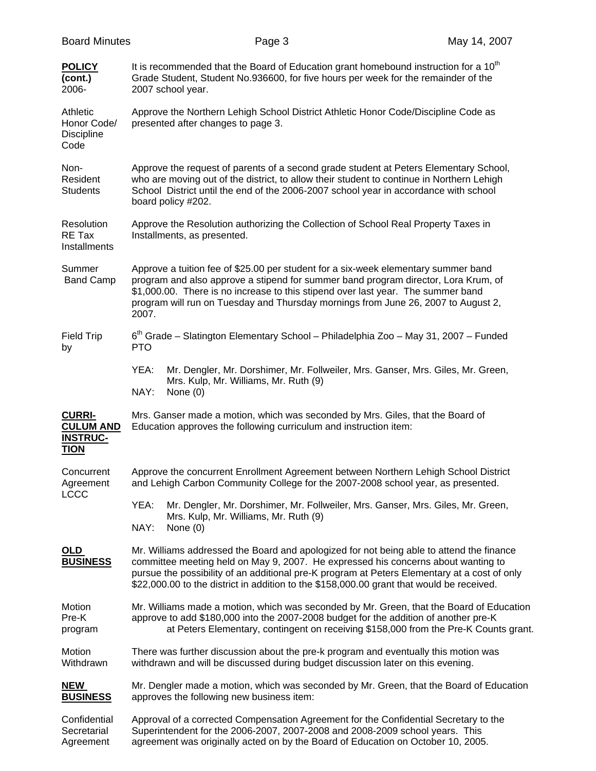| <b>Board Minutes</b>                                                | Page 3                                                                                                                                                                                                                                                                                                                                                                     | May 14, 2007 |  |  |  |
|---------------------------------------------------------------------|----------------------------------------------------------------------------------------------------------------------------------------------------------------------------------------------------------------------------------------------------------------------------------------------------------------------------------------------------------------------------|--------------|--|--|--|
| <b>POLICY</b><br>(cont.)<br>2006-                                   | It is recommended that the Board of Education grant homebound instruction for a 10 <sup>th</sup><br>Grade Student, Student No.936600, for five hours per week for the remainder of the<br>2007 school year.                                                                                                                                                                |              |  |  |  |
| Athletic<br>Honor Code/<br><b>Discipline</b><br>Code                | Approve the Northern Lehigh School District Athletic Honor Code/Discipline Code as<br>presented after changes to page 3.                                                                                                                                                                                                                                                   |              |  |  |  |
| Non-<br>Resident<br><b>Students</b>                                 | Approve the request of parents of a second grade student at Peters Elementary School,<br>who are moving out of the district, to allow their student to continue in Northern Lehigh<br>School District until the end of the 2006-2007 school year in accordance with school<br>board policy #202.                                                                           |              |  |  |  |
| Resolution<br>RE Tax<br>Installments                                | Approve the Resolution authorizing the Collection of School Real Property Taxes in<br>Installments, as presented.                                                                                                                                                                                                                                                          |              |  |  |  |
| Summer<br><b>Band Camp</b>                                          | Approve a tuition fee of \$25.00 per student for a six-week elementary summer band<br>program and also approve a stipend for summer band program director, Lora Krum, of<br>\$1,000.00. There is no increase to this stipend over last year. The summer band<br>program will run on Tuesday and Thursday mornings from June 26, 2007 to August 2,<br>2007.                 |              |  |  |  |
| <b>Field Trip</b><br>by                                             | $6th$ Grade – Slatington Elementary School – Philadelphia Zoo – May 31, 2007 – Funded<br><b>PTO</b>                                                                                                                                                                                                                                                                        |              |  |  |  |
|                                                                     | YEA:<br>Mr. Dengler, Mr. Dorshimer, Mr. Follweiler, Mrs. Ganser, Mrs. Giles, Mr. Green,<br>Mrs. Kulp, Mr. Williams, Mr. Ruth (9)<br>NAY:<br>None $(0)$                                                                                                                                                                                                                     |              |  |  |  |
| <b>CURRI-</b><br><b>CULUM AND</b><br><b>INSTRUC-</b><br><b>TION</b> | Mrs. Ganser made a motion, which was seconded by Mrs. Giles, that the Board of<br>Education approves the following curriculum and instruction item:                                                                                                                                                                                                                        |              |  |  |  |
| Concurrent<br>Agreement<br><b>LCCC</b>                              | Approve the concurrent Enrollment Agreement between Northern Lehigh School District<br>and Lehigh Carbon Community College for the 2007-2008 school year, as presented.                                                                                                                                                                                                    |              |  |  |  |
|                                                                     | YEA:<br>Mr. Dengler, Mr. Dorshimer, Mr. Follweiler, Mrs. Ganser, Mrs. Giles, Mr. Green,<br>Mrs. Kulp, Mr. Williams, Mr. Ruth (9)<br>NAY:<br>None $(0)$                                                                                                                                                                                                                     |              |  |  |  |
| <u>OLD</u><br><b>BUSINESS</b>                                       | Mr. Williams addressed the Board and apologized for not being able to attend the finance<br>committee meeting held on May 9, 2007. He expressed his concerns about wanting to<br>pursue the possibility of an additional pre-K program at Peters Elementary at a cost of only<br>\$22,000.00 to the district in addition to the \$158,000.00 grant that would be received. |              |  |  |  |
| Motion<br>Pre-K<br>program                                          | Mr. Williams made a motion, which was seconded by Mr. Green, that the Board of Education<br>approve to add \$180,000 into the 2007-2008 budget for the addition of another pre-K<br>at Peters Elementary, contingent on receiving \$158,000 from the Pre-K Counts grant.                                                                                                   |              |  |  |  |
| Motion<br>Withdrawn                                                 | There was further discussion about the pre-k program and eventually this motion was<br>withdrawn and will be discussed during budget discussion later on this evening.                                                                                                                                                                                                     |              |  |  |  |
| <b>NEW</b><br><b>BUSINESS</b>                                       | Mr. Dengler made a motion, which was seconded by Mr. Green, that the Board of Education<br>approves the following new business item:                                                                                                                                                                                                                                       |              |  |  |  |
| Confidential<br>Secretarial<br>Agreement                            | Approval of a corrected Compensation Agreement for the Confidential Secretary to the<br>Superintendent for the 2006-2007, 2007-2008 and 2008-2009 school years. This<br>agreement was originally acted on by the Board of Education on October 10, 2005.                                                                                                                   |              |  |  |  |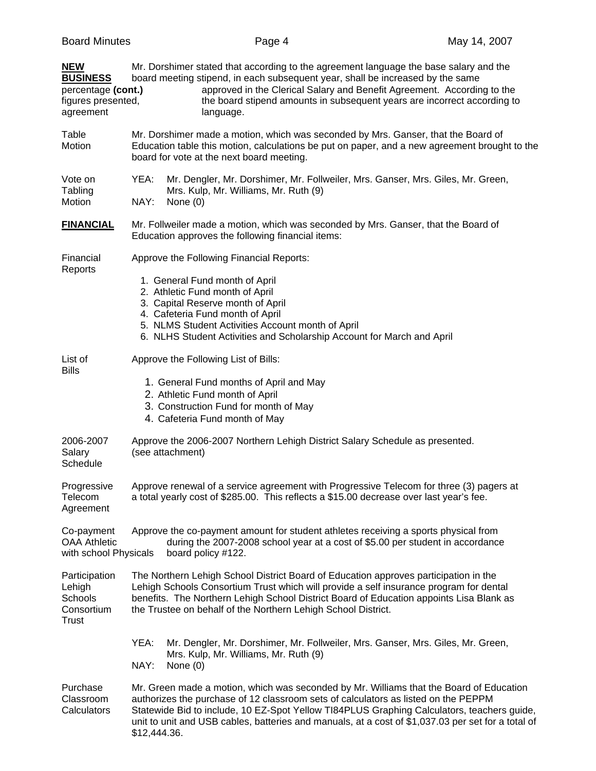| <b>NEW</b><br><b>BUSINESS</b><br>percentage (cont.)<br>figures presented,<br>agreement | Mr. Dorshimer stated that according to the agreement language the base salary and the<br>board meeting stipend, in each subsequent year, shall be increased by the same<br>approved in the Clerical Salary and Benefit Agreement. According to the<br>the board stipend amounts in subsequent years are incorrect according to<br>language.                                                       |  |  |  |  |
|----------------------------------------------------------------------------------------|---------------------------------------------------------------------------------------------------------------------------------------------------------------------------------------------------------------------------------------------------------------------------------------------------------------------------------------------------------------------------------------------------|--|--|--|--|
| Table<br>Motion                                                                        | Mr. Dorshimer made a motion, which was seconded by Mrs. Ganser, that the Board of<br>Education table this motion, calculations be put on paper, and a new agreement brought to the<br>board for vote at the next board meeting.                                                                                                                                                                   |  |  |  |  |
| Vote on<br>Tabling<br>Motion                                                           | YEA:<br>Mr. Dengler, Mr. Dorshimer, Mr. Follweiler, Mrs. Ganser, Mrs. Giles, Mr. Green,<br>Mrs. Kulp, Mr. Williams, Mr. Ruth (9)<br>NAY:<br>None $(0)$                                                                                                                                                                                                                                            |  |  |  |  |
| <b>FINANCIAL</b>                                                                       | Mr. Follweiler made a motion, which was seconded by Mrs. Ganser, that the Board of<br>Education approves the following financial items:                                                                                                                                                                                                                                                           |  |  |  |  |
| Financial<br>Reports                                                                   | Approve the Following Financial Reports:<br>1. General Fund month of April<br>2. Athletic Fund month of April<br>3. Capital Reserve month of April<br>4. Cafeteria Fund month of April<br>5. NLMS Student Activities Account month of April<br>6. NLHS Student Activities and Scholarship Account for March and April                                                                             |  |  |  |  |
| List of<br><b>Bills</b>                                                                | Approve the Following List of Bills:<br>1. General Fund months of April and May<br>2. Athletic Fund month of April<br>3. Construction Fund for month of May<br>4. Cafeteria Fund month of May                                                                                                                                                                                                     |  |  |  |  |
| 2006-2007<br>Salary<br>Schedule                                                        | Approve the 2006-2007 Northern Lehigh District Salary Schedule as presented.<br>(see attachment)                                                                                                                                                                                                                                                                                                  |  |  |  |  |
| Progressive<br>Telecom<br>Agreement                                                    | Approve renewal of a service agreement with Progressive Telecom for three (3) pagers at<br>a total yearly cost of \$285.00. This reflects a \$15.00 decrease over last year's fee.                                                                                                                                                                                                                |  |  |  |  |
| Co-payment<br><b>OAA Athletic</b><br>with school Physicals                             | Approve the co-payment amount for student athletes receiving a sports physical from<br>during the 2007-2008 school year at a cost of \$5.00 per student in accordance<br>board policy #122.                                                                                                                                                                                                       |  |  |  |  |
| Participation<br>Lehigh<br>Schools<br>Consortium<br>Trust                              | The Northern Lehigh School District Board of Education approves participation in the<br>Lehigh Schools Consortium Trust which will provide a self insurance program for dental<br>benefits. The Northern Lehigh School District Board of Education appoints Lisa Blank as<br>the Trustee on behalf of the Northern Lehigh School District.                                                        |  |  |  |  |
|                                                                                        | YEA:<br>Mr. Dengler, Mr. Dorshimer, Mr. Follweiler, Mrs. Ganser, Mrs. Giles, Mr. Green,<br>Mrs. Kulp, Mr. Williams, Mr. Ruth (9)<br>NAY:<br>None $(0)$                                                                                                                                                                                                                                            |  |  |  |  |
| Purchase<br>Classroom<br>Calculators                                                   | Mr. Green made a motion, which was seconded by Mr. Williams that the Board of Education<br>authorizes the purchase of 12 classroom sets of calculators as listed on the PEPPM<br>Statewide Bid to include, 10 EZ-Spot Yellow TI84PLUS Graphing Calculators, teachers guide,<br>unit to unit and USB cables, batteries and manuals, at a cost of \$1,037.03 per set for a total of<br>\$12,444.36. |  |  |  |  |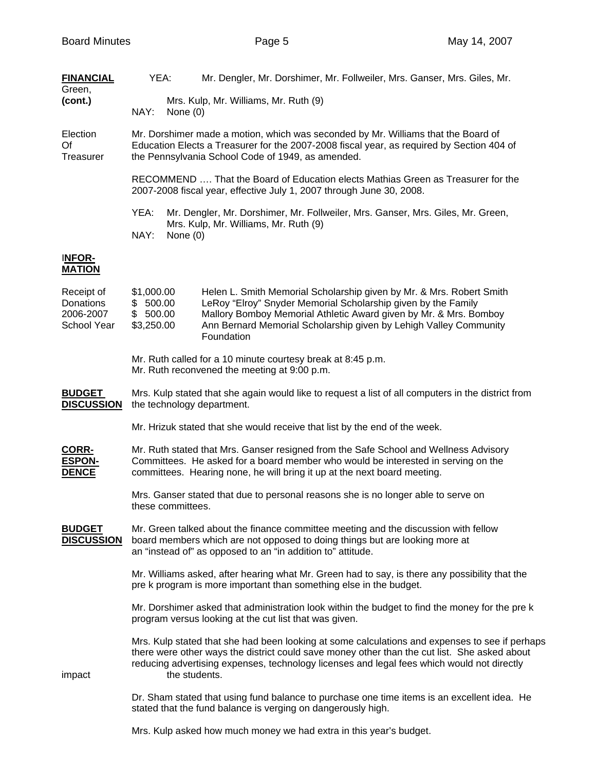| <b>FINANCIAL</b><br>Green,                          | YEA:                                                                                                                                                                                                                                                                                                          | Mr. Dengler, Mr. Dorshimer, Mr. Follweiler, Mrs. Ganser, Mrs. Giles, Mr.                                                                                                                                                                                                                      |  |  |  |
|-----------------------------------------------------|---------------------------------------------------------------------------------------------------------------------------------------------------------------------------------------------------------------------------------------------------------------------------------------------------------------|-----------------------------------------------------------------------------------------------------------------------------------------------------------------------------------------------------------------------------------------------------------------------------------------------|--|--|--|
| (cont.)                                             | NAY:                                                                                                                                                                                                                                                                                                          | Mrs. Kulp, Mr. Williams, Mr. Ruth (9)<br>None $(0)$                                                                                                                                                                                                                                           |  |  |  |
| Election<br>Of<br>Treasurer                         | Mr. Dorshimer made a motion, which was seconded by Mr. Williams that the Board of<br>Education Elects a Treasurer for the 2007-2008 fiscal year, as required by Section 404 of<br>the Pennsylvania School Code of 1949, as amended.                                                                           |                                                                                                                                                                                                                                                                                               |  |  |  |
|                                                     | RECOMMEND  That the Board of Education elects Mathias Green as Treasurer for the<br>2007-2008 fiscal year, effective July 1, 2007 through June 30, 2008.                                                                                                                                                      |                                                                                                                                                                                                                                                                                               |  |  |  |
|                                                     | YEA:<br>NAY:                                                                                                                                                                                                                                                                                                  | Mr. Dengler, Mr. Dorshimer, Mr. Follweiler, Mrs. Ganser, Mrs. Giles, Mr. Green,<br>Mrs. Kulp, Mr. Williams, Mr. Ruth (9)<br>None $(0)$                                                                                                                                                        |  |  |  |
| <b>INFOR-</b><br><b>MATION</b>                      |                                                                                                                                                                                                                                                                                                               |                                                                                                                                                                                                                                                                                               |  |  |  |
| Receipt of<br>Donations<br>2006-2007<br>School Year | \$1,000.00<br>\$500.00<br>\$500.00<br>\$3,250.00                                                                                                                                                                                                                                                              | Helen L. Smith Memorial Scholarship given by Mr. & Mrs. Robert Smith<br>LeRoy "Elroy" Snyder Memorial Scholarship given by the Family<br>Mallory Bomboy Memorial Athletic Award given by Mr. & Mrs. Bomboy<br>Ann Bernard Memorial Scholarship given by Lehigh Valley Community<br>Foundation |  |  |  |
|                                                     |                                                                                                                                                                                                                                                                                                               | Mr. Ruth called for a 10 minute courtesy break at 8:45 p.m.<br>Mr. Ruth reconvened the meeting at 9:00 p.m.                                                                                                                                                                                   |  |  |  |
| <b>BUDGET</b><br><b>DISCUSSION</b>                  | Mrs. Kulp stated that she again would like to request a list of all computers in the district from<br>the technology department.                                                                                                                                                                              |                                                                                                                                                                                                                                                                                               |  |  |  |
|                                                     | Mr. Hrizuk stated that she would receive that list by the end of the week.                                                                                                                                                                                                                                    |                                                                                                                                                                                                                                                                                               |  |  |  |
| CORR-<br><b>ESPON-</b><br><b>DENCE</b>              | Mr. Ruth stated that Mrs. Ganser resigned from the Safe School and Wellness Advisory<br>Committees. He asked for a board member who would be interested in serving on the<br>committees. Hearing none, he will bring it up at the next board meeting.                                                         |                                                                                                                                                                                                                                                                                               |  |  |  |
|                                                     | Mrs. Ganser stated that due to personal reasons she is no longer able to serve on<br>these committees.                                                                                                                                                                                                        |                                                                                                                                                                                                                                                                                               |  |  |  |
| <b>BUDGET</b><br><b>DISCUSSION</b>                  | Mr. Green talked about the finance committee meeting and the discussion with fellow<br>board members which are not opposed to doing things but are looking more at<br>an "instead of" as opposed to an "in addition to" attitude.                                                                             |                                                                                                                                                                                                                                                                                               |  |  |  |
|                                                     |                                                                                                                                                                                                                                                                                                               | Mr. Williams asked, after hearing what Mr. Green had to say, is there any possibility that the<br>pre k program is more important than something else in the budget.                                                                                                                          |  |  |  |
|                                                     | Mr. Dorshimer asked that administration look within the budget to find the money for the pre k<br>program versus looking at the cut list that was given.                                                                                                                                                      |                                                                                                                                                                                                                                                                                               |  |  |  |
| impact                                              | Mrs. Kulp stated that she had been looking at some calculations and expenses to see if perhaps<br>there were other ways the district could save money other than the cut list. She asked about<br>reducing advertising expenses, technology licenses and legal fees which would not directly<br>the students. |                                                                                                                                                                                                                                                                                               |  |  |  |
|                                                     |                                                                                                                                                                                                                                                                                                               | Dr. Sham stated that using fund balance to purchase one time items is an excellent idea. He<br>stated that the fund balance is verging on dangerously high.                                                                                                                                   |  |  |  |
|                                                     |                                                                                                                                                                                                                                                                                                               | Mrs. Kulp asked how much money we had extra in this year's budget.                                                                                                                                                                                                                            |  |  |  |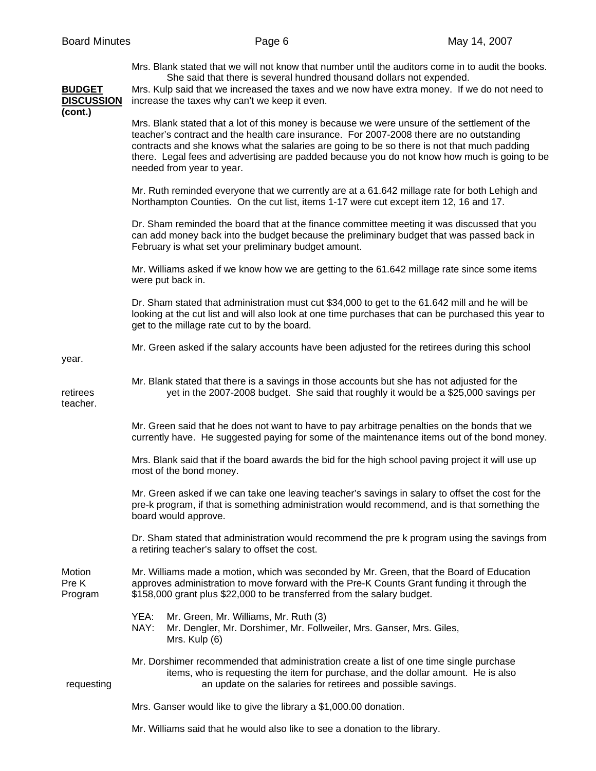Mrs. Blank stated that we will not know that number until the auditors come in to audit the books. She said that there is several hundred thousand dollars not expended.

**BUDGET** Mrs. Kulp said that we increased the taxes and we now have extra money. If we do not need to **DISCUSSION** increase the taxes why can't we keep it even.

**(cont.)** 

 Mrs. Blank stated that a lot of this money is because we were unsure of the settlement of the teacher's contract and the health care insurance. For 2007-2008 there are no outstanding contracts and she knows what the salaries are going to be so there is not that much padding there. Legal fees and advertising are padded because you do not know how much is going to be needed from year to year.

 Mr. Ruth reminded everyone that we currently are at a 61.642 millage rate for both Lehigh and Northampton Counties. On the cut list, items 1-17 were cut except item 12, 16 and 17.

 Dr. Sham reminded the board that at the finance committee meeting it was discussed that you can add money back into the budget because the preliminary budget that was passed back in February is what set your preliminary budget amount.

 Mr. Williams asked if we know how we are getting to the 61.642 millage rate since some items were put back in.

 Dr. Sham stated that administration must cut \$34,000 to get to the 61.642 mill and he will be looking at the cut list and will also look at one time purchases that can be purchased this year to get to the millage rate cut to by the board.

Mr. Green asked if the salary accounts have been adjusted for the retirees during this school

Mr. Blank stated that there is a savings in those accounts but she has not adjusted for the

year.

teacher.

retirees yet in the 2007-2008 budget. She said that roughly it would be a \$25,000 savings per

 Mr. Green said that he does not want to have to pay arbitrage penalties on the bonds that we currently have. He suggested paying for some of the maintenance items out of the bond money.

 Mrs. Blank said that if the board awards the bid for the high school paving project it will use up most of the bond money.

 Mr. Green asked if we can take one leaving teacher's savings in salary to offset the cost for the pre-k program, if that is something administration would recommend, and is that something the board would approve.

 Dr. Sham stated that administration would recommend the pre k program using the savings from a retiring teacher's salary to offset the cost.

Motion Mr. Williams made a motion, which was seconded by Mr. Green, that the Board of Education Pre K approves administration to move forward with the Pre-K Counts Grant funding it through the Program \$158,000 grant plus \$22,000 to be transferred from the salary budget.

- YEA: Mr. Green, Mr. Williams, Mr. Ruth (3)
- NAY: Mr. Dengler, Mr. Dorshimer, Mr. Follweiler, Mrs. Ganser, Mrs. Giles, Mrs. Kulp (6)

 Mr. Dorshimer recommended that administration create a list of one time single purchase items, who is requesting the item for purchase, and the dollar amount. He is also requesting an update on the salaries for retirees and possible savings.

Mrs. Ganser would like to give the library a \$1,000.00 donation.

Mr. Williams said that he would also like to see a donation to the library.